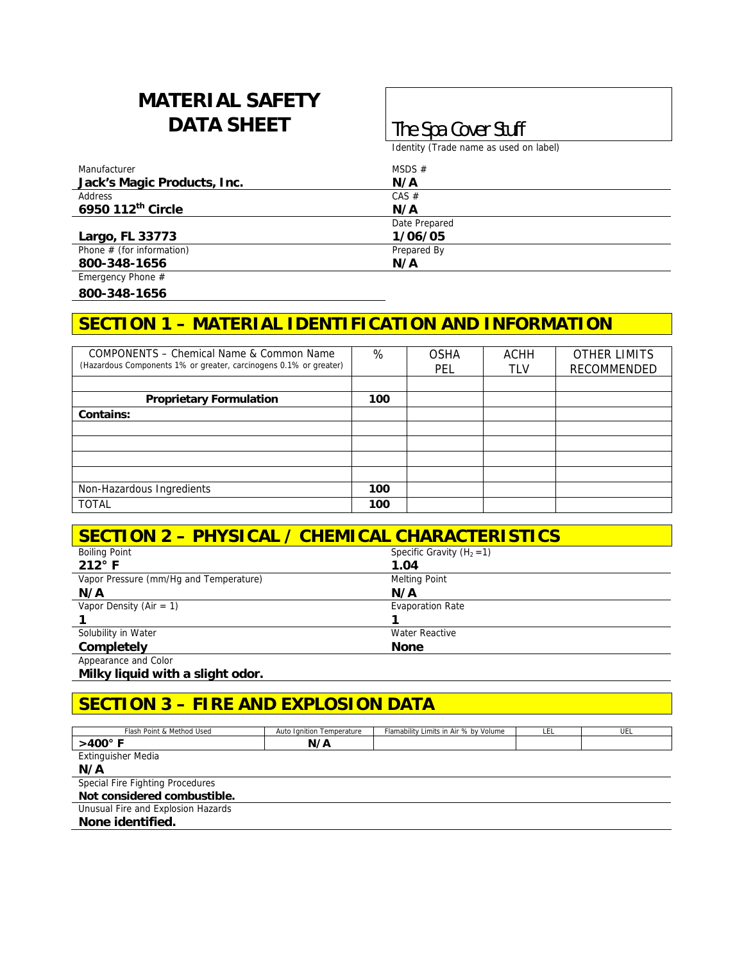# **MATERIAL SAFETY DATA SHEET The Spa Cover Stuff**

Identity (Trade name as used on label)

| Manufacturer                | MSDS $#$      |  |
|-----------------------------|---------------|--|
| Jack's Magic Products, Inc. | N/A           |  |
| Address                     | $CAS \#$      |  |
| 6950 112th Circle           | N/A           |  |
|                             | Date Prepared |  |
| Largo, FL 33773             | 1/06/05       |  |
| Phone $#$ (for information) | Prepared By   |  |
| 800-348-1656                | N/A           |  |
| Emergency Phone #           |               |  |

**800-348-1656** 

#### **SECTION 1 – MATERIAL IDENTIFICATION AND INFORMATION**

| COMPONENTS – Chemical Name & Common Name<br>(Hazardous Components 1% or greater, carcinogens 0.1% or greater) | %   | <b>OSHA</b><br>PEL | ACHH<br>tlv | <b>OTHER LIMITS</b><br>RECOMMENDED |
|---------------------------------------------------------------------------------------------------------------|-----|--------------------|-------------|------------------------------------|
|                                                                                                               |     |                    |             |                                    |
| <b>Proprietary Formulation</b>                                                                                | 100 |                    |             |                                    |
| Contains:                                                                                                     |     |                    |             |                                    |
|                                                                                                               |     |                    |             |                                    |
|                                                                                                               |     |                    |             |                                    |
|                                                                                                               |     |                    |             |                                    |
|                                                                                                               |     |                    |             |                                    |
| Non-Hazardous Ingredients                                                                                     | 100 |                    |             |                                    |
| <b>TOTAL</b>                                                                                                  | 100 |                    |             |                                    |

| <b>SECTION 2 - PHYSICAL / CHEMICAL CHARACTERISTICS</b> |                              |  |  |
|--------------------------------------------------------|------------------------------|--|--|
| <b>Boiling Point</b>                                   | Specific Gravity $(H_2 = 1)$ |  |  |
| $212^\circ$ F                                          | 1.04                         |  |  |
| Vapor Pressure (mm/Hq and Temperature)                 | <b>Melting Point</b>         |  |  |
| N/A                                                    | N/A                          |  |  |
| Vapor Density (Air = $1$ )                             | <b>Evaporation Rate</b>      |  |  |
|                                                        |                              |  |  |
| Solubility in Water                                    | Water Reactive               |  |  |
| <b>Completely</b>                                      | <b>None</b>                  |  |  |
| Appearance and Color                                   |                              |  |  |

**Milky liquid with a slight odor.** 

### **SECTION 3 – FIRE AND EXPLOSION DATA**

| Flash Point & Method Used          | Auto Ignition Temperature | Flamability Limits in Air % by Volume | LEL | UEL |
|------------------------------------|---------------------------|---------------------------------------|-----|-----|
| $>400^\circ$ F                     | N/A                       |                                       |     |     |
| Extinguisher Media                 |                           |                                       |     |     |
| N/A                                |                           |                                       |     |     |
| Special Fire Fighting Procedures   |                           |                                       |     |     |
| Not considered combustible.        |                           |                                       |     |     |
| Unusual Fire and Explosion Hazards |                           |                                       |     |     |
| None identified.                   |                           |                                       |     |     |